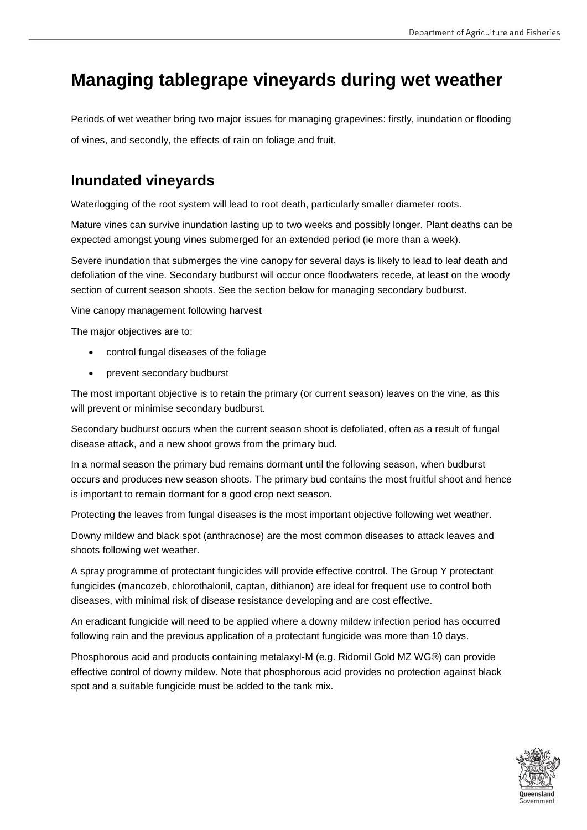# **Managing tablegrape vineyards during wet weather**

Periods of wet weather bring two major issues for managing grapevines: firstly, inundation or flooding of vines, and secondly, the effects of rain on foliage and fruit.

## **Inundated vineyards**

Waterlogging of the root system will lead to root death, particularly smaller diameter roots.

Mature vines can survive inundation lasting up to two weeks and possibly longer. Plant deaths can be expected amongst young vines submerged for an extended period (ie more than a week).

Severe inundation that submerges the vine canopy for several days is likely to lead to leaf death and defoliation of the vine. Secondary budburst will occur once floodwaters recede, at least on the woody section of current season shoots. See the section below for managing secondary budburst.

Vine canopy management following harvest

The major objectives are to:

- control fungal diseases of the foliage
- prevent secondary budburst

The most important objective is to retain the primary (or current season) leaves on the vine, as this will prevent or minimise secondary budburst.

Secondary budburst occurs when the current season shoot is defoliated, often as a result of fungal disease attack, and a new shoot grows from the primary bud.

In a normal season the primary bud remains dormant until the following season, when budburst occurs and produces new season shoots. The primary bud contains the most fruitful shoot and hence is important to remain dormant for a good crop next season.

Protecting the leaves from fungal diseases is the most important objective following wet weather.

Downy mildew and black spot (anthracnose) are the most common diseases to attack leaves and shoots following wet weather.

A spray programme of protectant fungicides will provide effective control. The Group Y protectant fungicides (mancozeb, chlorothalonil, captan, dithianon) are ideal for frequent use to control both diseases, with minimal risk of disease resistance developing and are cost effective.

An eradicant fungicide will need to be applied where a downy mildew infection period has occurred following rain and the previous application of a protectant fungicide was more than 10 days.

Phosphorous acid and products containing metalaxyl-M (e.g. Ridomil Gold MZ WG®) can provide effective control of downy mildew. Note that phosphorous acid provides no protection against black spot and a suitable fungicide must be added to the tank mix.